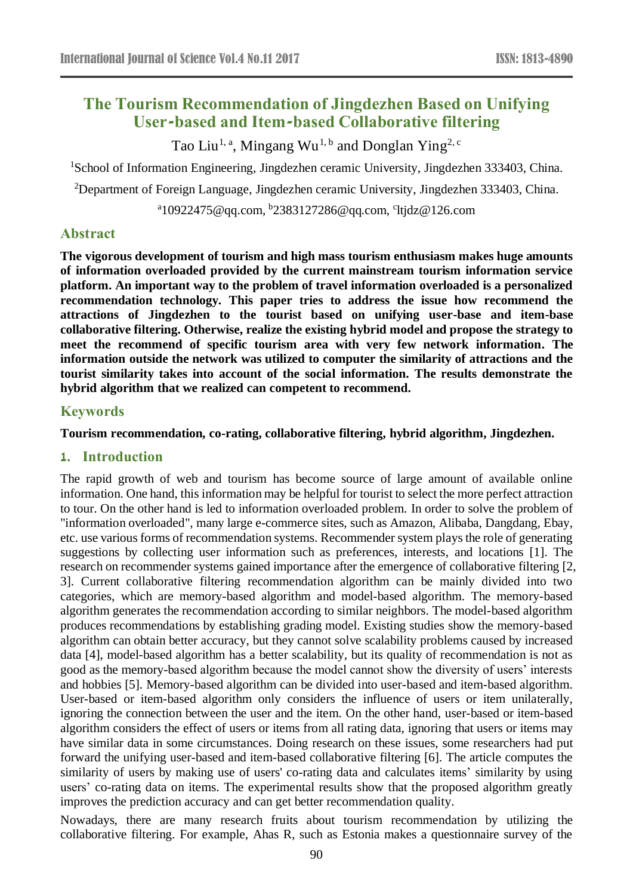# **The Tourism Recommendation of Jingdezhen Based on Unifying User-based and Item-based Collaborative filtering**

Tao Liu<sup>1, a</sup>, Mingang Wu<sup>1, b</sup> and Donglan Ying<sup>2, c</sup>

<sup>1</sup>School of Information Engineering, Jingdezhen ceramic University, Jingdezhen 333403, China.

<sup>2</sup>Department of Foreign Language, Jingdezhen ceramic University, Jingdezhen 333403, China.

<sup>a</sup>10922475@qq.com, <sup>b</sup>2383127286@qq.com, <sup>c</sup>ltjdz@126.com

# **Abstract**

**The vigorous development of tourism and high mass tourism enthusiasm makes huge amounts of information overloaded provided by the current mainstream tourism information service platform. An important way to the problem of travel information overloaded is a personalized recommendation technology. This paper tries to address the issue how recommend the attractions of Jingdezhen to the tourist based on unifying user-base and item-base collaborative filtering. Otherwise, realize the existing hybrid model and propose the strategy to meet the recommend of specific tourism area with very few network information. The information outside the network was utilized to computer the similarity of attractions and the tourist similarity takes into account of the social information. The results demonstrate the hybrid algorithm that we realized can competent to recommend.**

### **Keywords**

**Tourism recommendation, co-rating, collaborative filtering, hybrid algorithm, Jingdezhen.**

### **1. Introduction**

The rapid growth of web and tourism has become source of large amount of available online information. One hand, this information may be helpful for tourist to select the more perfect attraction to tour. On the other hand is led to information overloaded problem. In order to solve the problem of "information overloaded", many large e-commerce sites, such as Amazon, Alibaba, Dangdang, Ebay, etc. use various forms of recommendation systems. Recommender system plays the role of generating suggestions by collecting user information such as preferences, interests, and locations [1]. The research on recommender systems gained importance after the emergence of collaborative filtering [2, 3]. Current collaborative filtering recommendation algorithm can be mainly divided into two categories, which are memory-based algorithm and model-based algorithm. The memory-based algorithm generates the recommendation according to similar neighbors. The model-based algorithm produces recommendations by establishing grading model. Existing studies show the memory-based algorithm can obtain better accuracy, but they cannot solve scalability problems caused by increased data [4], model-based algorithm has a better scalability, but its quality of recommendation is not as good as the memory-based algorithm because the model cannot show the diversity of users' interests and hobbies [5]. Memory-based algorithm can be divided into user-based and item-based algorithm. User-based or item-based algorithm only considers the influence of users or item unilaterally, ignoring the connection between the user and the item. On the other hand, user-based or item-based algorithm considers the effect of users or items from all rating data, ignoring that users or items may have similar data in some circumstances. Doing research on these issues, some researchers had put forward the unifying user-based and item-based collaborative filtering [6]. The article computes the similarity of users by making use of users' co-rating data and calculates items' similarity by using users' co-rating data on items. The experimental results show that the proposed algorithm greatly improves the prediction accuracy and can get better recommendation quality.

Nowadays, there are many research fruits about tourism recommendation by utilizing the collaborative filtering. For example, Ahas R, such as Estonia makes a questionnaire survey of the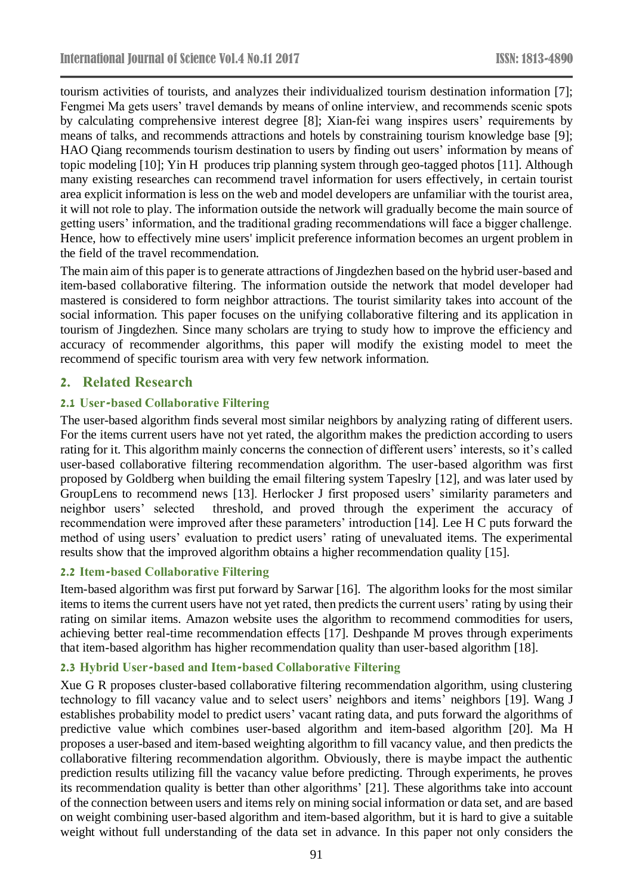tourism activities of tourists, and analyzes their individualized tourism destination information [7]; Fengmei Ma gets users' travel demands by means of online interview, and recommends scenic spots by calculating comprehensive interest degree [8]; Xian-fei wang inspires users' requirements by means of talks, and recommends attractions and hotels by constraining tourism knowledge base [9]; HAO Qiang recommends tourism destination to users by finding out users' information by means of topic modeling [10]; Yin H produces trip planning system through geo-tagged photos [11]. Although many existing researches can recommend travel information for users effectively, in certain tourist area explicit information is less on the web and model developers are unfamiliar with the tourist area, it will not role to play. The information outside the network will gradually become the main source of getting users' information, and the traditional grading recommendations will face a bigger challenge. Hence, how to effectively mine users' implicit preference information becomes an urgent problem in the field of the travel recommendation.

The main aim of this paper is to generate attractions of Jingdezhen based on the hybrid user-based and item-based collaborative filtering. The information outside the network that model developer had mastered is considered to form neighbor attractions. The tourist similarity takes into account of the social information. This paper focuses on the unifying collaborative filtering and its application in tourism of Jingdezhen. Since many scholars are trying to study how to improve the efficiency and accuracy of recommender algorithms, this paper will modify the existing model to meet the recommend of specific tourism area with very few network information.

# **2. Related Research**

### **2.1 User-based Collaborative Filtering**

The user-based algorithm finds several most similar neighbors by analyzing rating of different users. For the items current users have not yet rated, the algorithm makes the prediction according to users rating for it. This algorithm mainly concerns the connection of different users' interests, so it's called user-based collaborative filtering recommendation algorithm. The user-based algorithm was first proposed by Goldberg when building the email filtering system Tapeslry [12], and was later used by GroupLens to recommend news [13]. Herlocker J first proposed users' similarity parameters and neighbor users' selected threshold, and proved through the experiment the accuracy of recommendation were improved after these parameters' introduction [14]. Lee H C puts forward the method of using users' evaluation to predict users' rating of unevaluated items. The experimental results show that the improved algorithm obtains a higher recommendation quality [15].

#### **2.2 Item-based Collaborative Filtering**

Item-based algorithm was first put forward by Sarwar [16]. The algorithm looks for the most similar items to items the current users have not yet rated, then predicts the current users' rating by using their rating on similar items. Amazon website uses the algorithm to recommend commodities for users, achieving better real-time recommendation effects [17]. Deshpande M proves through experiments that item-based algorithm has higher recommendation quality than user-based algorithm [18].

### **2.3 Hybrid User-based and Item-based Collaborative Filtering**

Xue G R proposes cluster-based collaborative filtering recommendation algorithm, using clustering technology to fill vacancy value and to select users' neighbors and items' neighbors [19]. Wang J establishes probability model to predict users' vacant rating data, and puts forward the algorithms of predictive value which combines user-based algorithm and item-based algorithm [20]. Ma H proposes a user-based and item-based weighting algorithm to fill vacancy value, and then predicts the collaborative filtering recommendation algorithm. Obviously, there is maybe impact the authentic prediction results utilizing fill the vacancy value before predicting. Through experiments, he proves its recommendation quality is better than other algorithms' [21]. These algorithms take into account of the connection between users and items rely on mining social information or data set, and are based on weight combining user-based algorithm and item-based algorithm, but it is hard to give a suitable weight without full understanding of the data set in advance. In this paper not only considers the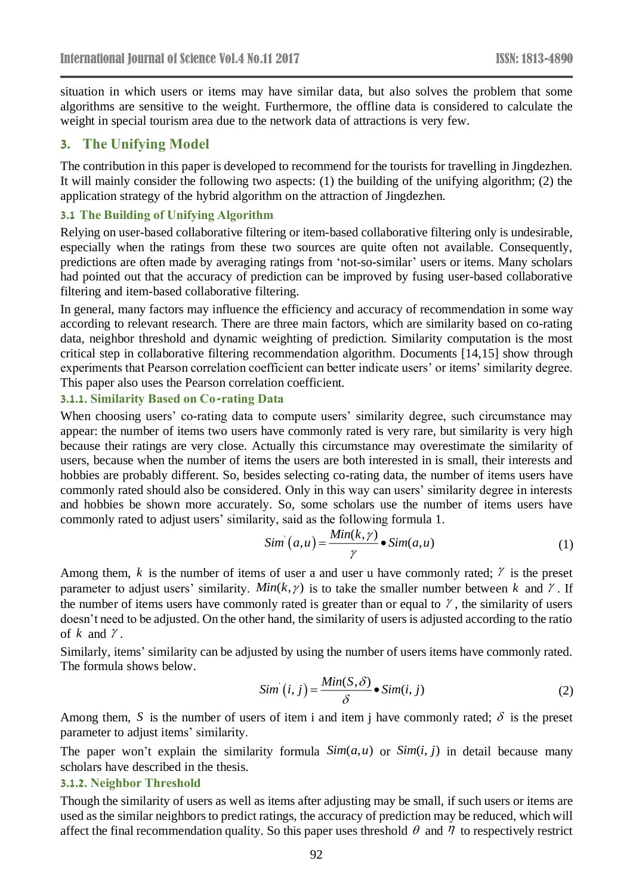situation in which users or items may have similar data, but also solves the problem that some algorithms are sensitive to the weight. Furthermore, the offline data is considered to calculate the weight in special tourism area due to the network data of attractions is very few.

### **3. The Unifying Model**

The contribution in this paper is developed to recommend for the tourists for travelling in Jingdezhen. It will mainly consider the following two aspects: (1) the building of the unifying algorithm; (2) the application strategy of the hybrid algorithm on the attraction of Jingdezhen.

#### **3.1 The Building of Unifying Algorithm**

Relying on user-based collaborative filtering or item-based collaborative filtering only is undesirable, especially when the ratings from these two sources are quite often not available. Consequently, predictions are often made by averaging ratings from 'not-so-similar' users or items. Many scholars had pointed out that the accuracy of prediction can be improved by fusing user-based collaborative filtering and item-based collaborative filtering.

In general, many factors may influence the efficiency and accuracy of recommendation in some way according to relevant research. There are three main factors, which are similarity based on co-rating data, neighbor threshold and dynamic weighting of prediction. Similarity computation is the most critical step in collaborative filtering recommendation algorithm. Documents [14,15] show through experiments that Pearson correlation coefficient can better indicate users' or items' similarity degree. This paper also uses the Pearson correlation coefficient.

#### **3.1.1. Similarity Based on Co-rating Data**

When choosing users' co-rating data to compute users' similarity degree, such circumstance may appear: the number of items two users have commonly rated is very rare, but similarity is very high because their ratings are very close. Actually this circumstance may overestimate the similarity of users, because when the number of items the users are both interested in is small, their interests and hobbies are probably different. So, besides selecting co-rating data, the number of items users have commonly rated should also be considered. Only in this way can users' similarity degree in interests and hobbies be shown more accurately. So, some scholars use the number of items users have commonly rated to adjust users' similarity, said as the following formula 1.

$$
Sim(a, u) = \frac{Min(k, \gamma)}{\gamma} \bullet Sim(a, u)
$$
\n(1)

Among them,  $k$  is the number of items of user a and user u have commonly rated;  $\gamma$  is the preset parameter to adjust users' similarity. *Min*( $k, \gamma$ ) is to take the smaller number between k and  $\gamma$ . If the number of items users have commonly rated is greater than or equal to  $\gamma$ , the similarity of users doesn't need to be adjusted. On the other hand, the similarity of users is adjusted according to the ratio of  $k$  and  $\gamma$ .

Similarly, items' similarity can be adjusted by using the number of users items have commonly rated. The formula shows below.

$$
Sim(i, j) = \frac{Min(S, \delta)}{\delta} \bullet Sim(i, j)
$$
\n(2)

Among them, S is the number of users of item i and item j have commonly rated;  $\delta$  is the preset parameter to adjust items' similarity.

The paper won't explain the similarity formula  $Sim(a, u)$  or  $Sim(i, j)$  in detail because many scholars have described in the thesis.

#### **3.1.2. Neighbor Threshold**

Though the similarity of users as well as items after adjusting may be small, if such users or items are used as the similar neighbors to predict ratings, the accuracy of prediction may be reduced, which will affect the final recommendation quality. So this paper uses threshold  $\theta$  and  $\eta$  to respectively restrict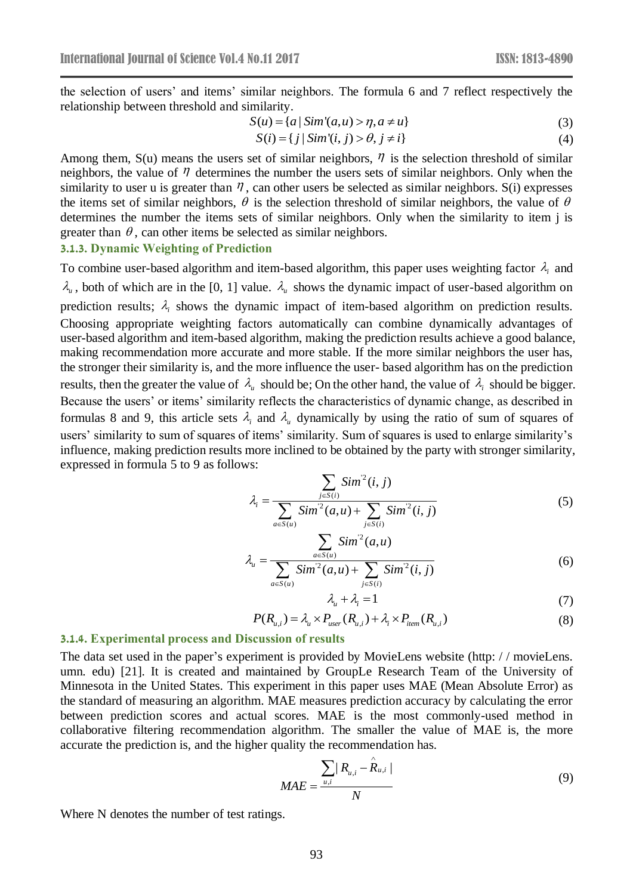the selection of users' and items' similar neighbors. The formula 6 and 7 reflect respectively the relationship between threshold and similarity.

$$
S(u) = \{a \mid Sim'(a, u) > \eta, a \neq u\}
$$
\n(3)

$$
S(i) = \{ j \mid Sim'(i, j) > \theta, j \neq i \}
$$
\n
$$
(4)
$$

Among them,  $S(u)$  means the users set of similar neighbors,  $\eta$  is the selection threshold of similar neighbors, the value of  $\eta$  determines the number the users sets of similar neighbors. Only when the similarity to user u is greater than  $\eta$ , can other users be selected as similar neighbors. S(i) expresses the items set of similar neighbors,  $\theta$  is the selection threshold of similar neighbors, the value of  $\theta$ determines the number the items sets of similar neighbors. Only when the similarity to item j is greater than  $\theta$ , can other items be selected as similar neighbors.

#### **3.1.3. Dynamic Weighting of Prediction**

To combine user-based algorithm and item-based algorithm, this paper uses weighting factor  $\lambda_i$  and  $\lambda_u$ , both of which are in the [0, 1] value.  $\lambda_u$  shows the dynamic impact of user-based algorithm on prediction results;  $\lambda_i$  shows the dynamic impact of item-based algorithm on prediction results. Choosing appropriate weighting factors automatically can combine dynamically advantages of user-based algorithm and item-based algorithm, making the prediction results achieve a good balance, making recommendation more accurate and more stable. If the more similar neighbors the user has, the stronger their similarity is, and the more influence the user- based algorithm has on the prediction results, then the greater the value of  $\lambda_{\mu}$  should be; On the other hand, the value of  $\lambda_{i}$  should be bigger. Because the users' or items' similarity reflects the characteristics of dynamic change, as described in formulas 8 and 9, this article sets  $\lambda_i$  and  $\lambda_\mu$  dynamically by using the ratio of sum of squares of users' similarity to sum of squares of items' similarity. Sum of squares is used to enlarge similarity's influence, making prediction results more inclined to be obtained by the party with stronger similarity, expressed in formula 5 to 9 as follows:

$$
\lambda_i = \frac{\sum_{j \in S(i)} Sim^2(i, j)}{\sum_{a \in S(u)} Sim^2(a, u) + \sum_{j \in S(i)} Sim^2(i, j)}
$$
(5)

$$
\lambda_{u} = \frac{\sum_{a \in S(u)} Sim^{2}(a, u)}{\sum_{a \in S(u)} Sim^{2}(a, u) + \sum_{j \in S(i)} Sim^{2}(i, j)}
$$
(6)

$$
\lambda_{\mu} + \lambda_{i} = 1 \tag{7}
$$

$$
P(R_{u,i}) = \lambda_u \times P_{user}(R_{u,i}) + \lambda_i \times P_{item}(R_{u,i})
$$
\n(8)

#### **3.1.4. Experimental process and Discussion of results**

The data set used in the paper's experiment is provided by MovieLens website (http: / / movieLens. umn. edu) [21]. It is created and maintained by GroupLe Research Team of the University of Minnesota in the United States. This experiment in this paper uses MAE (Mean Absolute Error) as the standard of measuring an algorithm. MAE measures prediction accuracy by calculating the error between prediction scores and actual scores. MAE is the most commonly-used method in collaborative filtering recommendation algorithm. The smaller the value of MAE is, the more accurate the prediction is, and the higher quality the recommendation has.

$$
MAE = \frac{\sum_{u,i} |R_{u,i} - \hat{R}_{u,i}|}{N}
$$
(9)

Where N denotes the number of test ratings.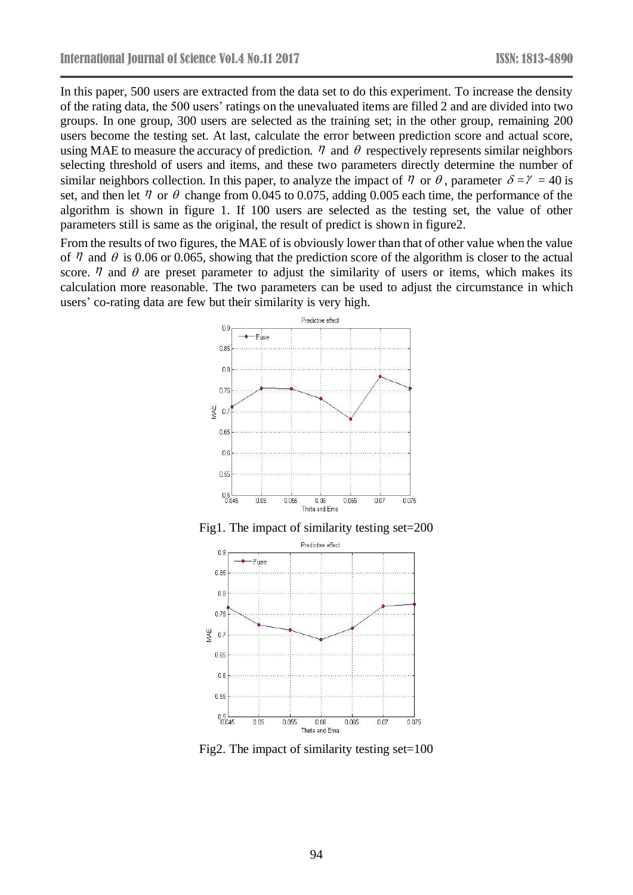In this paper, 500 users are extracted from the data set to do this experiment. To increase the density of the rating data, the 500 users' ratings on the unevaluated items are filled 2 and are divided into two groups. In one group, 300 users are selected as the training set; in the other group, remaining 200 users become the testing set. At last, calculate the error between prediction score and actual score, using MAE to measure the accuracy of prediction.  $\eta$  and  $\theta$  respectively represents similar neighbors selecting threshold of users and items, and these two parameters directly determine the number of similar neighbors collection. In this paper, to analyze the impact of  $\eta$  or  $\theta$ , parameter  $\delta = \gamma = 40$  is set, and then let  $\eta$  or  $\theta$  change from 0.045 to 0.075, adding 0.005 each time, the performance of the algorithm is shown in figure 1. If 100 users are selected as the testing set, the value of other parameters still is same as the original, the result of predict is shown in figure2.

From the results of two figures, the MAE of is obviously lower than that of other value when the value of  $\eta$  and  $\theta$  is 0.06 or 0.065, showing that the prediction score of the algorithm is closer to the actual score.  $\eta$  and  $\theta$  are preset parameter to adjust the similarity of users or items, which makes its calculation more reasonable. The two parameters can be used to adjust the circumstance in which users' co-rating data are few but their similarity is very high.



Fig1. The impact of similarity testing set=200



Fig2. The impact of similarity testing set=100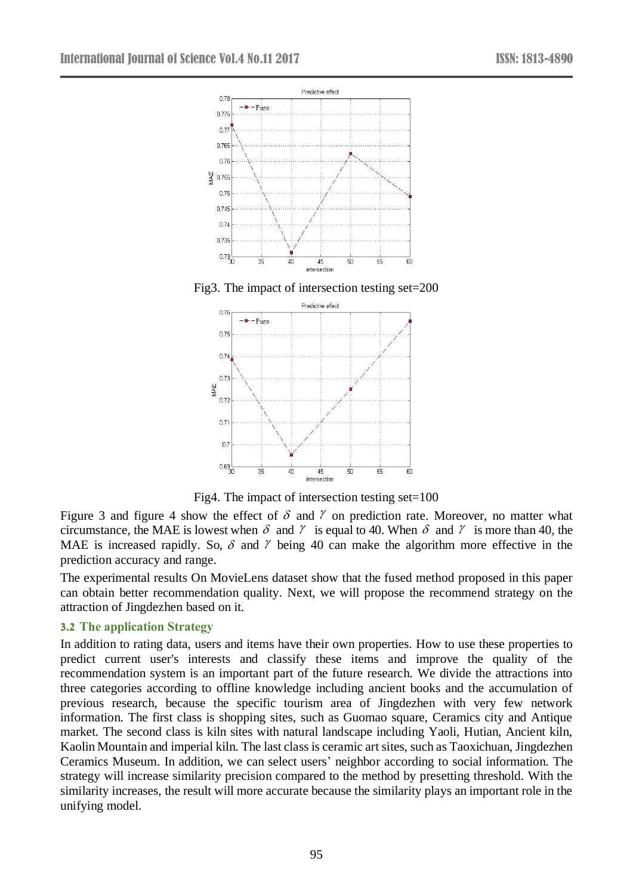

Fig3. The impact of intersection testing set=200



Fig4. The impact of intersection testing set=100

Figure 3 and figure 4 show the effect of  $\delta$  and  $\gamma$  on prediction rate. Moreover, no matter what circumstance, the MAE is lowest when  $\delta$  and  $\gamma$  is equal to 40. When  $\delta$  and  $\gamma$  is more than 40, the MAE is increased rapidly. So,  $\delta$  and  $\gamma$  being 40 can make the algorithm more effective in the prediction accuracy and range.

The experimental results On MovieLens dataset show that the fused method proposed in this paper can obtain better recommendation quality. Next, we will propose the recommend strategy on the attraction of Jingdezhen based on it.

#### **3.2 The application Strategy**

In addition to rating data, users and items have their own properties. How to use these properties to predict current user's interests and classify these items and improve the quality of the recommendation system is an important part of the future research. We divide the attractions into three categories according to offline knowledge including ancient books and the accumulation of previous research, because the specific tourism area of Jingdezhen with very few network information. The first class is shopping sites, such as Guomao square, Ceramics city and Antique market. The second class is kiln sites with natural landscape including Yaoli, Hutian, Ancient kiln, Kaolin Mountain and imperial kiln. The last class is ceramic art sites, such as Taoxichuan, Jingdezhen Ceramics Museum. In addition, we can select users' neighbor according to social information. The strategy will increase similarity precision compared to the method by presetting threshold. With the similarity increases, the result will more accurate because the similarity plays an important role in the unifying model.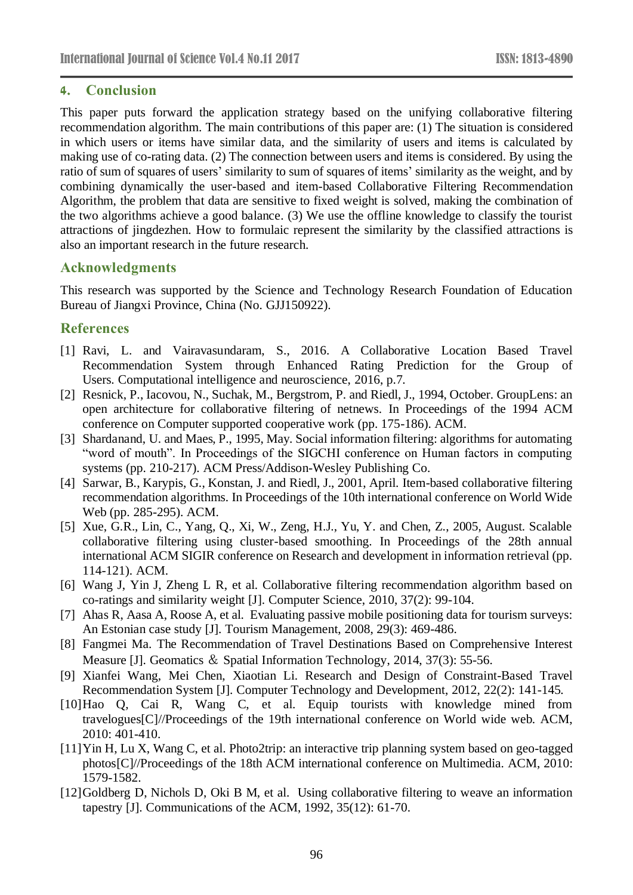### **4. Conclusion**

This paper puts forward the application strategy based on the unifying collaborative filtering recommendation algorithm. The main contributions of this paper are: (1) The situation is considered in which users or items have similar data, and the similarity of users and items is calculated by making use of co-rating data. (2) The connection between users and items is considered. By using the ratio of sum of squares of users' similarity to sum of squares of items' similarity as the weight, and by combining dynamically the user-based and item-based Collaborative Filtering Recommendation Algorithm, the problem that data are sensitive to fixed weight is solved, making the combination of the two algorithms achieve a good balance. (3) We use the offline knowledge to classify the tourist attractions of jingdezhen. How to formulaic represent the similarity by the classified attractions is also an important research in the future research.

### **Acknowledgments**

This research was supported by the Science and Technology Research Foundation of Education Bureau of Jiangxi Province, China (No. GJJ150922).

# **References**

- [1] Ravi, L. and Vairavasundaram, S., 2016. A Collaborative Location Based Travel Recommendation System through Enhanced Rating Prediction for the Group of Users. Computational intelligence and neuroscience, 2016, p.7.
- [2] Resnick, P., Iacovou, N., Suchak, M., Bergstrom, P. and Riedl, J., 1994, October. GroupLens: an open architecture for collaborative filtering of netnews. In Proceedings of the 1994 ACM conference on Computer supported cooperative work (pp. 175-186). ACM.
- [3] Shardanand, U. and Maes, P., 1995, May. Social information filtering: algorithms for automating "word of mouth". In Proceedings of the SIGCHI conference on Human factors in computing systems (pp. 210-217). ACM Press/Addison-Wesley Publishing Co.
- [4] Sarwar, B., Karypis, G., Konstan, J. and Riedl, J., 2001, April. Item-based collaborative filtering recommendation algorithms. In Proceedings of the 10th international conference on World Wide Web (pp. 285-295). ACM.
- [5] Xue, G.R., Lin, C., Yang, Q., Xi, W., Zeng, H.J., Yu, Y. and Chen, Z., 2005, August. Scalable collaborative filtering using cluster-based smoothing. In Proceedings of the 28th annual international ACM SIGIR conference on Research and development in information retrieval (pp. 114-121). ACM.
- [6] Wang J, Yin J, Zheng L R, et al. Collaborative filtering recommendation algorithm based on co-ratings and similarity weight [J]. Computer Science, 2010, 37(2): 99-104.
- [7] Ahas R, Aasa A, Roose A, et al. Evaluating passive mobile positioning data for tourism surveys: An Estonian case study [J]. Tourism Management, 2008, 29(3): 469-486.
- [8] Fangmei Ma. The Recommendation of Travel Destinations Based on Comprehensive Interest Measure [J]. Geomatics & Spatial Information Technology, 2014, 37(3): 55-56.
- [9] Xianfei Wang, Mei Chen, Xiaotian Li. Research and Design of Constraint-Based Travel Recommendation System [J]. Computer Technology and Development, 2012, 22(2): 141-145.
- [10]Hao Q, Cai R, Wang C, et al. Equip tourists with knowledge mined from travelogues[C]//Proceedings of the 19th international conference on World wide web. ACM, 2010: 401-410.
- [11]Yin H, Lu X, Wang C, et al. Photo2trip: an interactive trip planning system based on geo-tagged photos[C]//Proceedings of the 18th ACM international conference on Multimedia. ACM, 2010: 1579-1582.
- [12]Goldberg D, Nichols D, Oki B M, et al. Using collaborative filtering to weave an information tapestry [J]. Communications of the ACM, 1992, 35(12): 61-70.